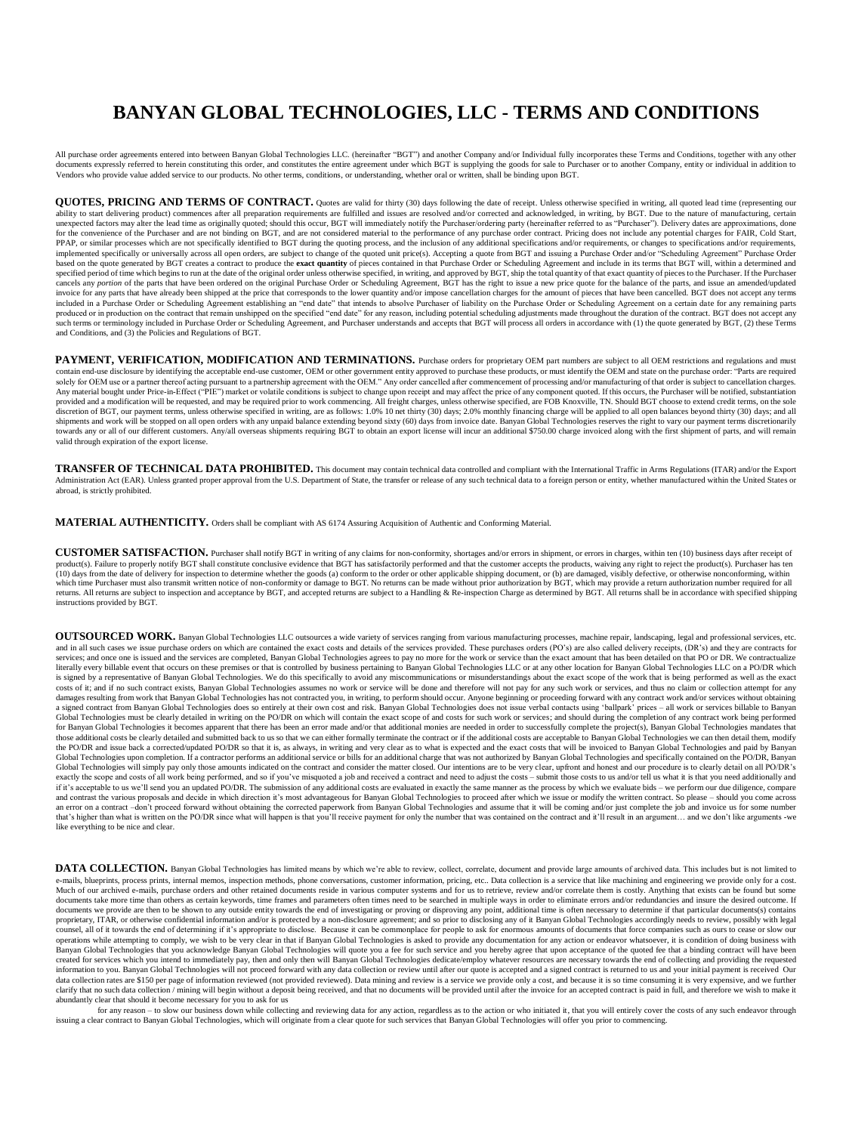## **BANYAN GLOBAL TECHNOLOGIES, LLC - TERMS AND CONDITIONS**

All purchase order agreements entered into between Banyan Global Technologies LLC. (hereinafter "BGT") and another Company and/or Individual fully incorporates these Terms and Conditions, together with any other documents expressly referred to herein constituting this order, and constitutes the entire agreement under which BGT is supplying the goods for sale to Purchaser or to another Company, entity or individual in addition to Vendors who provide value added service to our products. No other terms, conditions, or understanding, whether oral or written, shall be binding upon BGT.

**QUOTES, PRICING AND TERMS OF CONTRACT.** Quotes are valid for thirty (30) days following the date of receipt. Unless otherwise specified in writing, all quoted lead time (representing our ability to start delivering product) commences after all preparation requirements are fulfilled and issues are resolved and/or corrected and acknowledged, in writing, by BGT. Due to the nature of manufacturing, certain<br>une for the convenience of the Purchaser and are not binding on BGT, and are not considered material to the performance of any purchase order contract. Pricing does not include any potential charges for FAIR, Cold Start, Cold based on the quote generated by BGT creates a contract to produce the **exact quantity** of pieces contained in that Purchase Order or Scheduling Agreement and include in its terms that BGT will, within a determined and specified period of time which begins to run at the date of the original order unless otherwise specified, in writing, and approved by BGT, ship the total quantity of that exact quantity of pieces to the Purchaser If the P cancels any *portion* of the parts that have been ordered on the original Purchase Order or Scheduling Agreement, BGT has the right to issue a new price quote for the balance of the parts, and issue an amended/updated invoice for any parts that have already been shipped at the price that corresponds to the lower quantity and/or impose cancellation charges for the amount of pieces that have been cancelled. BGT does not accept any terms<br>i produced or in production on the contract that remain unshipped on the specified "end date" for any reason, including potential scheduling adjustments made throughout the duration of the contract. BGT does not accept any such terms or terminology included in Purchase Order or Scheduling Agreement, and Purchaser understands and accepts that BGT will process all orders in accordance with (1) the quote generated by BGT, (2) these Terms and Conditions, and (3) the Policies and Regulations of BGT.

PAYMENT, VERIFICATION, MODIFICATION AND TERMINATIONS. Purchase orders for proprietary OEM part numbers are subject to all OEM restrictions and regulations and must contain end-use disclosure by identifying the acceptable end-use customer, OEM or other government entity approved to purchase these products, or must identify the OEM and state on the purchase order: "Parts are required solely for OEM use or a partner thereof acting pursuant to a partnership agreement with the OEM." Any order cancelled after commencement of processing and/or manufacturing of that order is subject to cancellation charges. Any material bought under Price-in-Effect ("PIE") market or volatile conditions is subject to change upon receipt and may affect the price of any component quoted. If this occurs, the Purchaser will be notified, substantia provided and a modification will be requested, and may be required prior to work commencing. All freight charges, unless otherwise specified, are FOB Knoxville, TN. Should BGT choose to extend credit terms, on the sole<br>dis shipments and work will be stopped on all open orders with any unpaid balance extending beyond sixty (60) days from invoice date. Banyan Global Technologies reserves the right to vary our payment terms discretionarily towards any or all of our different customers. Any/all overseas shipments requiring BGT to obtain an export license will incur an additional \$750.00 charge invoiced along with the first shipment of parts, and will remain valid through expiration of the export license.

**TRANSFER OF TECHNICAL DATA PROHIBITED.** This document may contain technical data controlled and compliant with the International Traffic in Arms Regulations (ITAR) and/or the Export Administration Act (EAR). Unless granted proper approval from the U.S. Department of State, the transfer or release of any such technical data to a foreign person or entity, whether manufactured within the United States or abroad, is strictly prohibited.

**MATERIAL AUTHENTICITY.** Orders shall be compliant with AS 6174 Assuring Acquisition of Authentic and Conforming Material.

**CUSTOMER SATISFACTION.** Purchaser shall notify BGT in writing of any claims for non-conformity, shortages and/or errors in shipment, or errors in charges, within ten (10) business days after receipt of product(s). Failure to properly notify BGT shall constitute conclusive evidence that BGT has satisfactorily performed and that the customer accepts the products, waiving any right to reject the product(s). Purchaser has te (10) days from the date of delivery for inspection to determine whether the goods (a) conform to the order or other applicable shipping document, or (b) are damaged, visibly defective, or otherwise nonconforming, within which time Purchaser must also transmit written notice of non-conformity or damage to BGT. No returns can be made without prior authorization by BGT, which may provide a return authorization number required for all<br>returns instructions provided by BGT.

**OUTSOURCED WORK.** Banyan Global Technologies LLC outsources a wide variety of services ranging from various manufacturing processes, machine repair, landscaping, legal and professional services, etc. and in all such cases we issue purchase orders on which are contained the exact costs and details of the services provided. These purchases orders (PO's) are also called delivery receipts, (DR's) and they are contracts for services; and once one is issued and the services are completed, Banyan Global Technologies agrees to pay no more for the work or service than the exact amount that has been detailed on that PO or DR. We contractualize literally every billable event that occurs on these premises or that is controlled by business pertaining to Banyan Global Technologies LLC or at any other location for Banyan Global Technologies LLC on a PO/DR which is signed by a representative of Banyan Global Technologies. We do this specifically to avoid any miscommunications or misunderstandings about the exact scope of the work that is being performed as well as the exact  $\omega$  assumes the contract exists, Banyan Global Technologies assumes no work or service will be done and therefore will not pay for any such work or services, and thus no claim or collection attempt for any such work or s damages resulting from work that Banyan Global Technologies has not contracted you, in writing, to perform should occur. Anyone beginning or proceeding forward with any contract work and/or services without obtaining<br>a sig Global Technologies must be clearly detailed in writing on the PO/DR on which will contain the exact scope of and costs for such work or services; and should during the completion of any contract work being performed for Banyan Global Technologies it becomes apparent that there has been an error made and/or that additional monies are needed in order to successfully complete the project(s), Banyan Global Technologies mandates that<br>those the PO/DR and issue back a corrected/updated PO/DR so that it is, as always, in writing and very clear as to what is expected and the exact costs that will be invoiced to Banyan Global Technologies and paid by Banyan Global Technologies upon completion. If a contractor performs an additional service or bills for an additional charge that was not authorized by Banyan Global Technologies and specifically contained on the PO/DR, Banyan Global Technologies will simply pay only those amounts indicated on the contract and consider the matter closed. Our intentions are to be very clear, upfront and honest and our procedure is to clearly detail on all PO/DR's exactly the scope and costs of all work being performed, and so if you've misquoted a job and received a contract and need to adjust the costs – submit those costs to us and/or tell us what it is that you need additionally an error on a contract -don't proceed forward without obtaining the corrected paperwork from Banyan Global Technologies and assume that it will be coming and/or just complete the job and invoice us for some number that's higher than what is written on the PO/DR since what will happen is that you'll receive payment for only the number that was contained on the contract and it'll result in an argument… and we don't like arguments -we like everything to be nice and clear.

DATA COLLECTION. Banyan Global Technologies has limited means by which we're able to review, collect, correlate, document and provide large amounts of archived data. This includes but is not limited to e-mails, blueprints, process prints, internal memos, inspection methods, phone conversations, customer information, pricing, etc.. Data collection is a service that like machining and engineering we provide only for a cost. Much of our archived e-mails, purchase orders and other retained documents reside in various computer systems and for us to retrieve, review and/or correlate them is costly. Anything that exists can be found but some documents take more time than others as certain keywords, time frames and parameters often times need to be searched in multiple ways in order to eliminate errors and/or redundancies and insure the desired outcome. If documents we provide are then to be shown to any outside entity towards the end of investigating or proving or disproving any point, additional time is often necessary to determine if that particular documents(s) contains proprietary, ITAR, or otherwise confidential information and/or is protected by a non-disclosure agreement; and so prior to disclosing any of it Banyan Global Technologies accordingly needs to review, possibly with legal<br>c operations while attempting to comply, we wish to be very clear in that if Banyan Global Technologies is asked to provide any documentation for any action or endeavor whatsoever, it is condition of doing business with Banyan Global Technologies that you acknowledge Banyan Global Technologies will quote you a fee for such service and you hereby agree that upon acceptance of the quoted fee that a binding contract will have been<br>created fo information to you. Banyan Global Technologies will not proceed forward with any data collection or review until after our quote is accepted and a signed contract is returned to us and your initial payment is received Our data collection rates are \$150 per page of information reviewed (not provided reviewed). Data mining and review is a service we provide only a cost, and because it is so time consuming it is very expensive, and we further clarify that no such data collection / mining will begin without a deposit being received, and that no documents will be provided until after the invoice for an accepted contract is paid in full, and therefore we wish to m abundantly clear that should it become necessary for you to ask for us

for any reason - to slow our business down while collecting and reviewing data for any action, regardless as to the action or who initiated it, that you will entirely cover the costs of any such endeavor through<br>issuing a